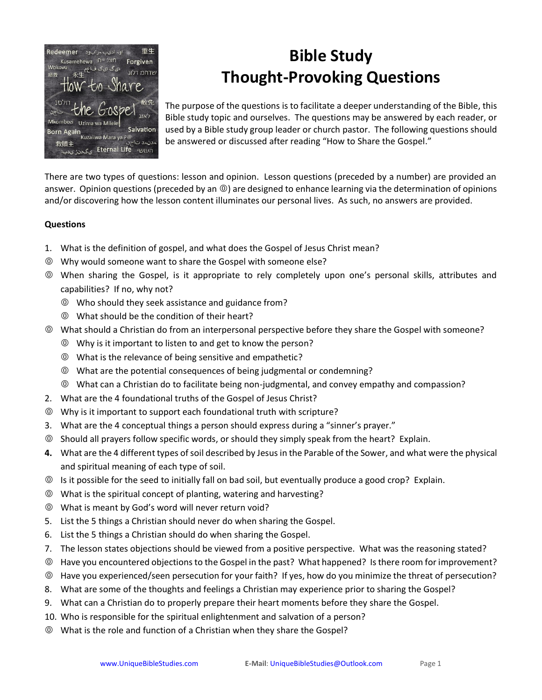

## **Bible Study Thought-Provoking Questions**

The purpose of the questions is to facilitate a deeper understanding of the Bible, this Bible study topic and ourselves. The questions may be answered by each reader, or used by a Bible study group leader or church pastor. The following questions should be answered or discussed after reading "How to Share the Gospel."

There are two types of questions: lesson and opinion. Lesson questions (preceded by a number) are provided an answer. Opinion questions (preceded by an  $\circledcirc$ ) are designed to enhance learning via the determination of opinions and/or discovering how the lesson content illuminates our personal lives. As such, no answers are provided.

## **Questions**

- 1. What is the definition of gospel, and what does the Gospel of Jesus Christ mean?
- Why would someone want to share the Gospel with someone else?
- When sharing the Gospel, is it appropriate to rely completely upon one's personal skills, attributes and capabilities? If no, why not?
	- Who should they seek assistance and guidance from?
	- What should be the condition of their heart?
- What should a Christian do from an interpersonal perspective before they share the Gospel with someone?
	- Why is it important to listen to and get to know the person?
	- What is the relevance of being sensitive and empathetic?
	- What are the potential consequences of being judgmental or condemning?
	- What can a Christian do to facilitate being non-judgmental, and convey empathy and compassion?
- 2. What are the 4 foundational truths of the Gospel of Jesus Christ?
- Why is it important to support each foundational truth with scripture?
- 3. What are the 4 conceptual things a person should express during a "sinner's prayer."
- Should all prayers follow specific words, or should they simply speak from the heart? Explain.
- **4.** What are the 4 different types of soil described by Jesus in the Parable of the Sower, and what were the physical and spiritual meaning of each type of soil.
- Is it possible for the seed to initially fall on bad soil, but eventually produce a good crop? Explain.
- What is the spiritual concept of planting, watering and harvesting?
- What is meant by God's word will never return void?
- 5. List the 5 things a Christian should never do when sharing the Gospel.
- 6. List the 5 things a Christian should do when sharing the Gospel.
- 7. The lesson states objections should be viewed from a positive perspective. What was the reasoning stated?
- Have you encountered objections to the Gospel in the past? What happened? Is there room for improvement?
- Have you experienced/seen persecution for your faith? If yes, how do you minimize the threat of persecution?
- 8. What are some of the thoughts and feelings a Christian may experience prior to sharing the Gospel?
- 9. What can a Christian do to properly prepare their heart moments before they share the Gospel.
- 10. Who is responsible for the spiritual enlightenment and salvation of a person?
- What is the role and function of a Christian when they share the Gospel?